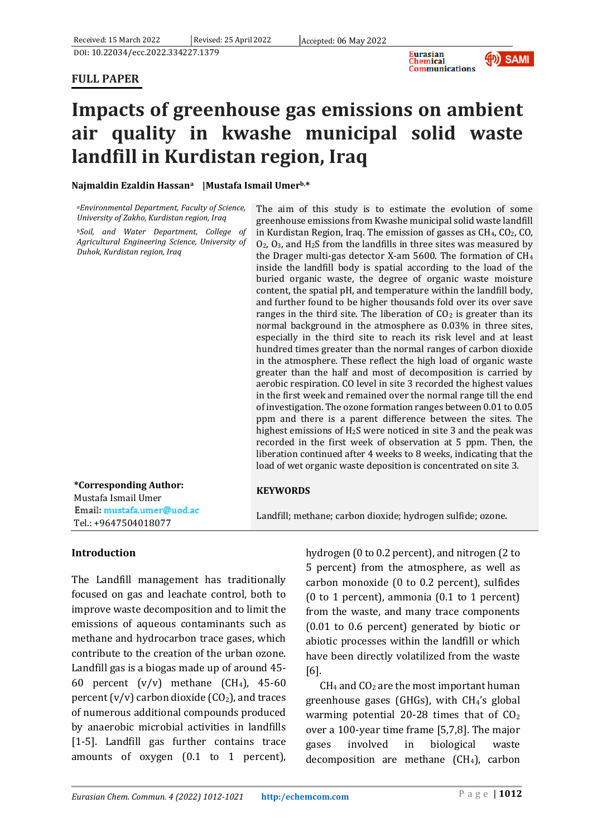## **FULL PAPER**



# **Impacts of greenhouse gas emissions on ambient air quality in kwashe municipal solid waste landfill in Kurdistan region, Iraq**

#### **Najmaldin Ezaldin Hassana |Mustafa Ismail Umerb,\***

*<sup>a</sup>Environmental Department, Faculty of Science, University of Zakho, Kurdistan region, Iraq*

*<sup>b</sup>Soil, and Water Department, College of Agricultural Engineering Science, University of Duhok, Kurdistan region, Iraq*

The aim of this study is to estimate the evolution of some greenhouse emissions from Kwashe municipal solid waste landfill in Kurdistan Region, Iraq. The emission of gasses as CH<sub>4</sub>, CO<sub>2</sub>, CO,  $O<sub>2</sub>$ ,  $O<sub>3</sub>$ , and H<sub>2</sub>S from the landfills in three sites was measured by the Drager multi-gas detector X-am 5600. The formation of CH<sup>4</sup> inside the landfill body is spatial according to the load of the buried organic waste, the degree of organic waste moisture content, the spatial pH, and temperature within the landfill body, and further found to be higher thousands fold over its over save ranges in the third site. The liberation of  $CO<sub>2</sub>$  is greater than its normal background in the atmosphere as 0.03% in three sites, especially in the third site to reach its risk level and at least hundred times greater than the normal ranges of carbon dioxide in the atmosphere. These reflect the high load of organic waste greater than the half and most of decomposition is carried by aerobic respiration. CO level in site 3 recorded the highest values in the first week and remained over the normal range till the end of investigation. The ozone formation ranges between 0.01 to 0.05 ppm and there is a parent difference between the sites. The highest emissions of H2S were noticed in site 3 and the peak was recorded in the first week of observation at 5 ppm. Then, the liberation continued after 4 weeks to 8 weeks, indicating that the load of wet organic waste deposition is concentrated on site 3.

| *Corresponding Author:     | <b>KEYWORDS</b>                                             |
|----------------------------|-------------------------------------------------------------|
| Mustafa Ismail Umer        |                                                             |
| Email: mustafa.umer@uod.ac | Landfill; methane; carbon dioxide; hydrogen sulfide; ozone. |
| Tel.: +9647504018077       |                                                             |

#### **Introduction**

The Landfill management has traditionally focused on gas and leachate control, both to improve waste decomposition and to limit the emissions of aqueous contaminants such as methane and hydrocarbon trace gases, which contribute to the creation of the urban ozone. Landfill gas is a biogas made up of around 45- 60 percent  $(v/v)$  methane  $(CH<sub>4</sub>)$ , 45-60 percent  $(v/v)$  carbon dioxide  $(CO<sub>2</sub>)$ , and traces of numerous additional compounds produced by anaerobic microbial activities in landfills [1-5]. Landfill gas further contains trace amounts of oxygen (0.1 to 1 percent), hydrogen (0 to 0.2 percent), and nitrogen (2 to 5 percent) from the atmosphere, as well as carbon monoxide (0 to 0.2 percent), sulfides (0 to 1 percent), ammonia (0.1 to 1 percent) from the waste, and many trace components (0.01 to 0.6 percent) generated by biotic or abiotic processes within the landfill or which have been directly volatilized from the waste [6].

 $CH<sub>4</sub>$  and  $CO<sub>2</sub>$  are the most important human greenhouse gases (GHGs), with  $CH<sub>4</sub>'s$  global warming potential 20-28 times that of  $CO<sub>2</sub>$ over a 100-year time frame [5,7,8]. The major gases involved in biological waste decomposition are methane  $(CH<sub>4</sub>)$ , carbon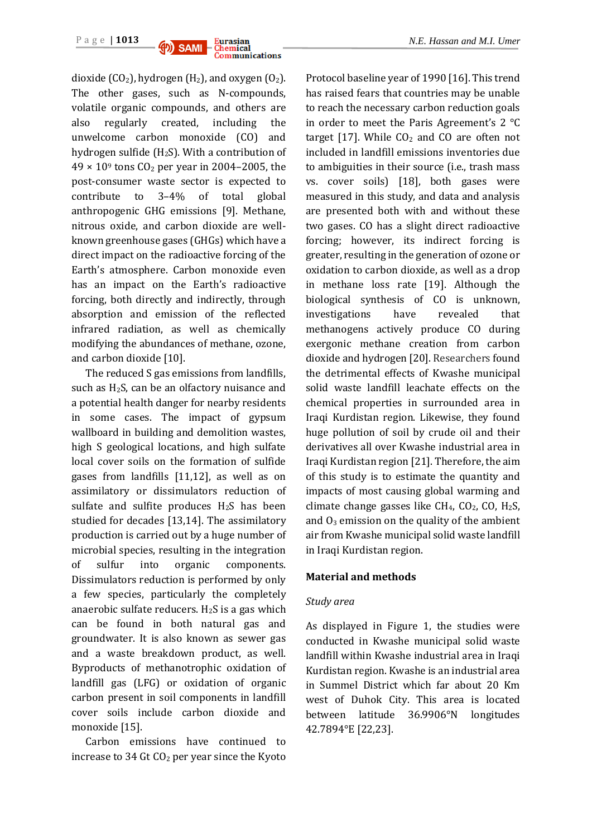

dioxide (CO<sub>2</sub>), hydrogen (H<sub>2</sub>), and oxygen (O<sub>2</sub>). The other gases, such as N-compounds, volatile organic compounds, and others are also regularly created, including the unwelcome carbon monoxide (CO) and hydrogen sulfide (H2S). With a contribution of  $49 \times 10^9$  tons CO<sub>2</sub> per year in 2004–2005, the post-consumer waste sector is expected to contribute to 3–4% of total global anthropogenic GHG emissions [9]. Methane, nitrous oxide, and carbon dioxide are wellknown greenhouse gases (GHGs) which have a direct impact on the radioactive forcing of the Earth's atmosphere. Carbon monoxide even has an impact on the Earth's radioactive forcing, both directly and indirectly, through absorption and emission of the reflected infrared radiation, as well as chemically modifying the abundances of methane, ozone, and carbon dioxide [10].

The reduced S gas emissions from landfills, such as H2S, can be an olfactory nuisance and a potential health danger for nearby residents in some cases. The impact of gypsum wallboard in building and demolition wastes, high S geological locations, and high sulfate local cover soils on the formation of sulfide gases from landfills [11,12], as well as on assimilatory or dissimulators reduction of sulfate and sulfite produces  $H_2S$  has been studied for decades [13,14]. The assimilatory production is carried out by a huge number of microbial species, resulting in the integration of sulfur into organic components. Dissimulators reduction is performed by only a few species, particularly the completely anaerobic sulfate reducers.  $H_2S$  is a gas which can be found in both natural gas and groundwater. It is also known as sewer gas and a waste breakdown product, as well. Byproducts of methanotrophic oxidation of landfill gas (LFG) or oxidation of organic carbon present in soil components in landfill cover soils include carbon dioxide and monoxide [15].

Carbon emissions have continued to increase to  $34$  Gt  $CO<sub>2</sub>$  per year since the Kyoto Protocol baseline year of 1990 [16]. This trend has raised fears that countries may be unable to reach the necessary carbon reduction goals in order to meet the Paris Agreement's 2 °C target [17]. While  $CO<sub>2</sub>$  and CO are often not included in landfill emissions inventories due to ambiguities in their source (i.e., trash mass vs. cover soils) [18], both gases were measured in this study, and data and analysis are presented both with and without these two gases. CO has a slight direct radioactive forcing; however, its indirect forcing is greater, resulting in the generation of ozone or oxidation to carbon dioxide, as well as a drop in methane loss rate [19]. Although the biological synthesis of CO is unknown, investigations have revealed that methanogens actively produce CO during exergonic methane creation from carbon dioxide and hydrogen [20]. Researchers found the detrimental effects of Kwashe municipal solid waste landfill leachate effects on the chemical properties in surrounded area in Iraqi Kurdistan region. Likewise, they found huge pollution of soil by crude oil and their derivatives all over Kwashe industrial area in Iraqi Kurdistan region [21]. Therefore, the aim of this study is to estimate the quantity and impacts of most causing global warming and climate change gasses like  $CH_4$ ,  $CO_2$ ,  $CO$ ,  $H_2S$ , and  $O_3$  emission on the quality of the ambient air from Kwashe municipal solid waste landfill in Iraqi Kurdistan region.

#### **Material and methods**

#### *Study area*

As displayed in Figure 1, the studies were conducted in Kwashe municipal solid waste landfill within Kwashe industrial area in Iraqi Kurdistan region. Kwashe is an industrial area in Summel District which far about 20 Km west of Duhok City. This area is located between latitude 36.9906°N longitudes 42.7894°E [22,23].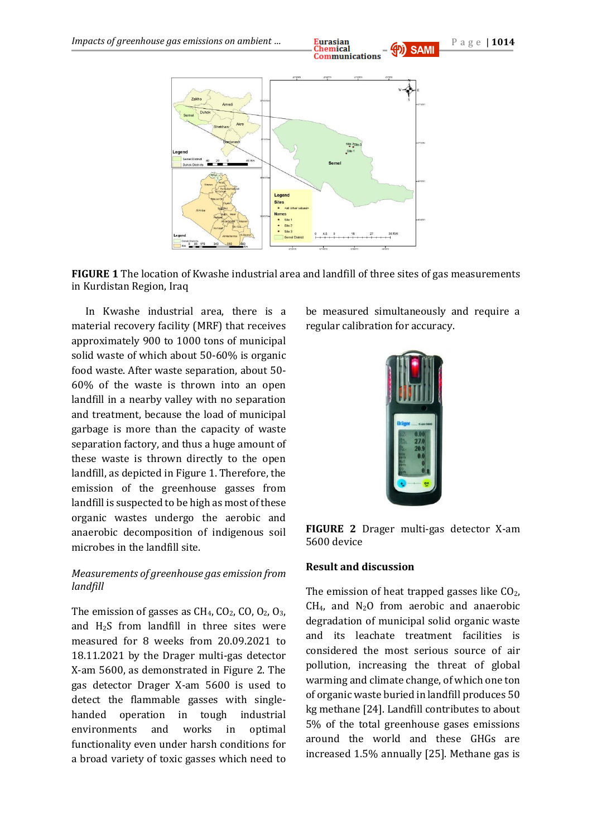





**FIGURE 1** The location of Kwashe industrial area and landfill of three sites of gas measurements in Kurdistan Region, Iraq

In Kwashe industrial area, there is a material recovery facility (MRF) that receives approximately 900 to 1000 tons of municipal solid waste of which about 50-60% is organic food waste. After waste separation, about 50- 60% of the waste is thrown into an open landfill in a nearby valley with no separation and treatment, because the load of municipal garbage is more than the capacity of waste separation factory, and thus a huge amount of these waste is thrown directly to the open landfill, as depicted in Figure 1. Therefore, the emission of the greenhouse gasses from landfill is suspected to be high as most of these organic wastes undergo the aerobic and anaerobic decomposition of indigenous soil microbes in the landfill site.

### *Measurements of greenhouse gas emission from landfill*

The emission of gasses as  $CH_4$ ,  $CO_2$ ,  $CO_2$ ,  $O_3$ , and  $H<sub>2</sub>S$  from landfill in three sites were measured for 8 weeks from 20.09.2021 to 18.11.2021 by the Drager multi-gas detector X-am 5600, as demonstrated in Figure 2. The gas detector Drager X-am 5600 is used to detect the flammable gasses with singlehanded operation in tough industrial environments and works in optimal functionality even under harsh conditions for a broad variety of toxic gasses which need to

be measured simultaneously and require a regular calibration for accuracy.





#### **Result and discussion**

The emission of heat trapped gasses like  $CO<sub>2</sub>$ ,  $CH<sub>4</sub>$ , and N<sub>2</sub>O from aerobic and anaerobic degradation of municipal solid organic waste and its leachate treatment facilities is considered the most serious source of air pollution, increasing the threat of global warming and climate change, of which one ton of organic waste buried in landfill produces 50 kg methane [24]. Landfill contributes to about 5% of the total greenhouse gases emissions around the world and these GHGs are increased 1.5% annually [25]. Methane gas is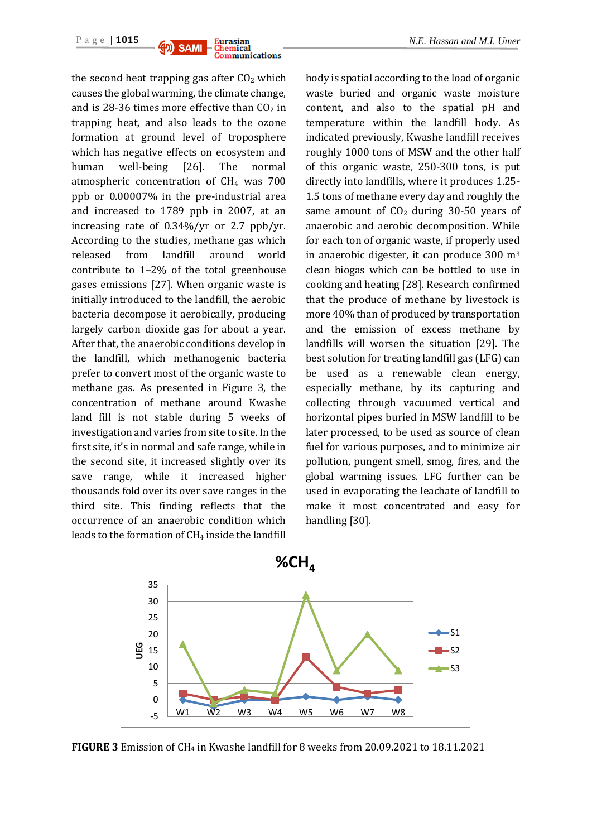

the second heat trapping gas after  $CO<sub>2</sub>$  which causes the global warming, the climate change, and is 28-36 times more effective than  $CO<sub>2</sub>$  in trapping heat, and also leads to the ozone formation at ground level of troposphere which has negative effects on ecosystem and human well-being [26]. The normal atmospheric concentration of CH<sup>4</sup> was 700 ppb or 0.00007% in the pre-industrial area and increased to 1789 ppb in 2007, at an increasing rate of 0.34%/yr or 2.7 ppb/yr. According to the studies, methane gas which released from landfill around world contribute to 1–2% of the total greenhouse gases emissions [27]. When organic waste is initially introduced to the landfill, the aerobic bacteria decompose it aerobically, producing largely carbon dioxide gas for about a year. After that, the anaerobic conditions develop in the landfill, which methanogenic bacteria prefer to convert most of the organic waste to methane gas. As presented in Figure 3, the concentration of methane around Kwashe land fill is not stable during 5 weeks of investigation and varies from site to site. In the first site, it's in normal and safe range, while in the second site, it increased slightly over its save range, while it increased higher thousands fold over its over save ranges in the third site. This finding reflects that the occurrence of an anaerobic condition which leads to the formation of  $CH<sub>4</sub>$  inside the landfill

body is spatial according to the load of organic waste buried and organic waste moisture content, and also to the spatial pH and temperature within the landfill body. As indicated previously, Kwashe landfill receives roughly 1000 tons of MSW and the other half of this organic waste, 250-300 tons, is put directly into landfills, where it produces 1.25- 1.5 tons of methane every day and roughly the same amount of  $CO<sub>2</sub>$  during 30-50 years of anaerobic and aerobic decomposition. While for each ton of organic waste, if properly used in anaerobic digester, it can produce 300 m<sup>3</sup> clean biogas which can be bottled to use in cooking and heating [28]. Research confirmed that the produce of methane by livestock is more 40% than of produced by transportation and the emission of excess methane by landfills will worsen the situation [29]. The best solution for treating landfill gas (LFG) can be used as a renewable clean energy, especially methane, by its capturing and collecting through vacuumed vertical and horizontal pipes buried in MSW landfill to be later processed, to be used as source of clean fuel for various purposes, and to minimize air pollution, pungent smell, smog, fires, and the global warming issues. LFG further can be used in evaporating the leachate of landfill to make it most concentrated and easy for handling [30].



**FIGURE 3** Emission of CH<sup>4</sup> in Kwashe landfill for 8 weeks from 20.09.2021 to 18.11.2021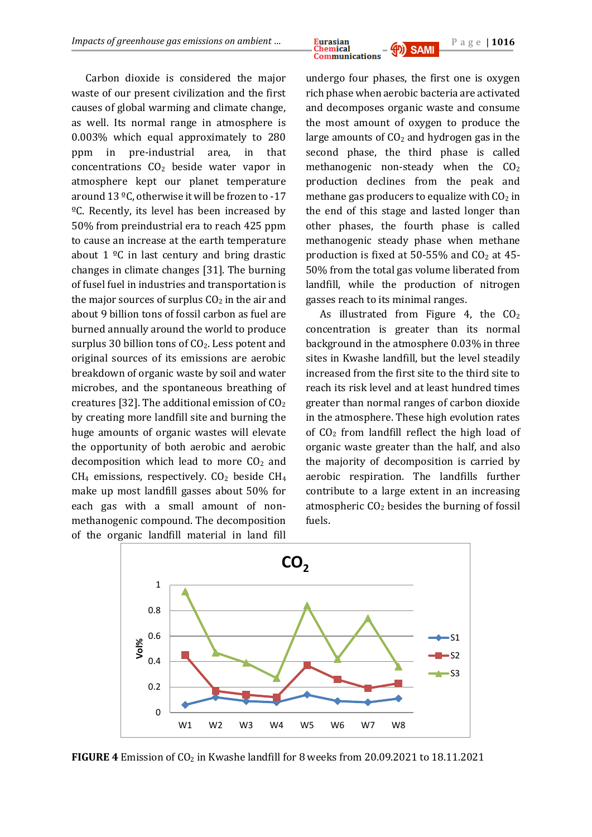

Carbon dioxide is considered the major waste of our present civilization and the first causes of global warming and climate change, as well. Its normal range in atmosphere is 0.003% which equal approximately to 280 ppm in pre-industrial area, in that concentrations  $CO<sub>2</sub>$  beside water vapor in atmosphere kept our planet temperature around 13 ºC, otherwise it will be frozen to -17 ºC. Recently, its level has been increased by 50% from preindustrial era to reach 425 ppm to cause an increase at the earth temperature about  $1 \, \text{°C}$  in last century and bring drastic changes in climate changes [31]. The burning of fusel fuel in industries and transportation is the major sources of surplus  $CO<sub>2</sub>$  in the air and about 9 billion tons of fossil carbon as fuel are burned annually around the world to produce surplus 30 billion tons of  $CO<sub>2</sub>$ . Less potent and original sources of its emissions are aerobic breakdown of organic waste by soil and water microbes, and the spontaneous breathing of creatures [32]. The additional emission of  $CO<sub>2</sub>$ by creating more landfill site and burning the huge amounts of organic wastes will elevate the opportunity of both aerobic and aerobic decomposition which lead to more  $CO<sub>2</sub>$  and  $CH<sub>4</sub>$  emissions, respectively.  $CO<sub>2</sub>$  beside  $CH<sub>4</sub>$ make up most landfill gasses about 50% for each gas with a small amount of nonmethanogenic compound. The decomposition of the organic landfill material in land fill

undergo four phases, the first one is oxygen rich phase when aerobic bacteria are activated and decomposes organic waste and consume the most amount of oxygen to produce the large amounts of  $CO<sub>2</sub>$  and hydrogen gas in the second phase, the third phase is called methanogenic non-steady when the  $CO<sub>2</sub>$ production declines from the peak and methane gas producers to equalize with  $CO<sub>2</sub>$  in the end of this stage and lasted longer than other phases, the fourth phase is called methanogenic steady phase when methane production is fixed at  $50-55%$  and  $CO<sub>2</sub>$  at 45-50% from the total gas volume liberated from landfill, while the production of nitrogen gasses reach to its minimal ranges.

As illustrated from Figure 4, the  $CO<sub>2</sub>$ concentration is greater than its normal background in the atmosphere 0.03% in three sites in Kwashe landfill, but the level steadily increased from the first site to the third site to reach its risk level and at least hundred times greater than normal ranges of carbon dioxide in the atmosphere. These high evolution rates of  $CO<sub>2</sub>$  from landfill reflect the high load of organic waste greater than the half, and also the majority of decomposition is carried by aerobic respiration. The landfills further contribute to a large extent in an increasing atmospheric  $CO<sub>2</sub>$  besides the burning of fossil fuels.



**FIGURE 4** Emission of CO<sub>2</sub> in Kwashe landfill for 8 weeks from 20.09.2021 to 18.11.2021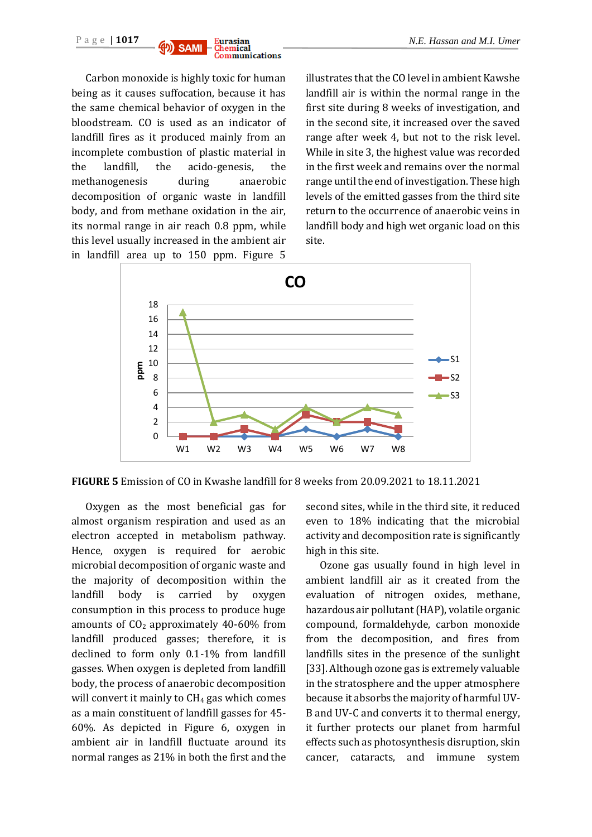Carbon monoxide is highly toxic for human being as it causes suffocation, because it has the same chemical behavior of oxygen in the bloodstream. CO is used as an indicator of landfill fires as it produced mainly from an incomplete combustion of plastic material in the landfill, the acido-genesis, the methanogenesis during anaerobic decomposition of organic waste in landfill body, and from methane oxidation in the air, its normal range in air reach 0.8 ppm, while this level usually increased in the ambient air in landfill area up to 150 ppm. Figure 5

illustrates that the CO level in ambient Kawshe landfill air is within the normal range in the first site during 8 weeks of investigation, and in the second site, it increased over the saved range after week 4, but not to the risk level. While in site 3, the highest value was recorded in the first week and remains over the normal range until the end of investigation. These high levels of the emitted gasses from the third site return to the occurrence of anaerobic veins in landfill body and high wet organic load on this site.



**FIGURE 5** Emission of CO in Kwashe landfill for 8 weeks from 20.09.2021 to 18.11.2021

Oxygen as the most beneficial gas for almost organism respiration and used as an electron accepted in metabolism pathway. Hence, oxygen is required for aerobic microbial decomposition of organic waste and the majority of decomposition within the landfill body is carried by oxygen consumption in this process to produce huge amounts of  $CO<sub>2</sub>$  approximately 40-60% from landfill produced gasses; therefore, it is declined to form only 0.1-1% from landfill gasses. When oxygen is depleted from landfill body, the process of anaerobic decomposition will convert it mainly to  $CH<sub>4</sub>$  gas which comes as a main constituent of landfill gasses for 45- 60%. As depicted in Figure 6, oxygen in ambient air in landfill fluctuate around its normal ranges as 21% in both the first and the

second sites, while in the third site, it reduced even to 18% indicating that the microbial activity and decomposition rate is significantly high in this site.

Ozone gas usually found in high level in ambient landfill air as it created from the evaluation of nitrogen oxides, methane, hazardous air pollutant (HAP), volatile organic compound, formaldehyde, carbon monoxide from the decomposition, and fires from landfills sites in the presence of the sunlight [33]. Although ozone gas is extremely valuable in the stratosphere and the upper atmosphere because it absorbs the majority of harmful UV-B and UV-C and converts it to thermal energy, it further protects our planet from harmful effects such as photosynthesis disruption, skin cancer, cataracts, and immune system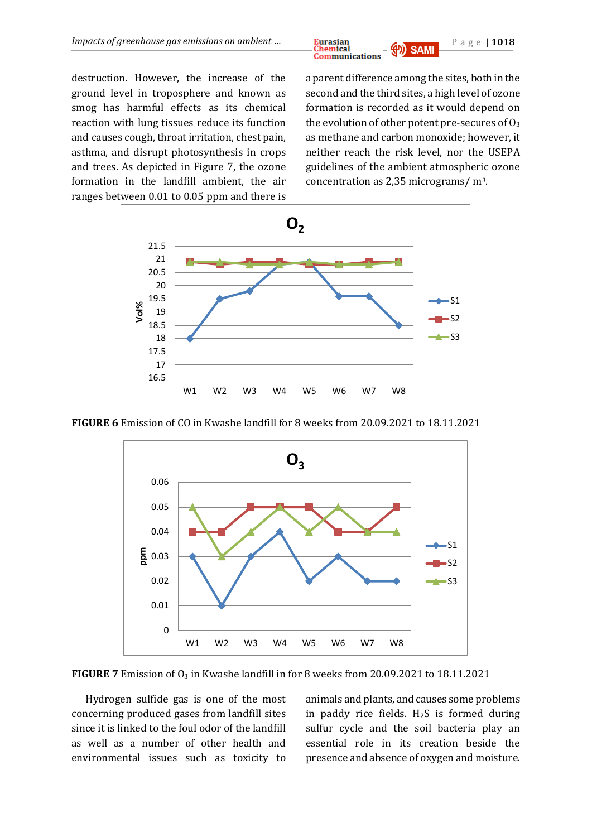

destruction. However, the increase of the ground level in troposphere and known as smog has harmful effects as its chemical reaction with lung tissues reduce its function and causes cough, throat irritation, chest pain, asthma, and disrupt photosynthesis in crops and trees. As depicted in Figure 7, the ozone formation in the landfill ambient, the air ranges between 0.01 to 0.05 ppm and there is

a parent difference among the sites, both in the second and the third sites, a high level of ozone formation is recorded as it would depend on the evolution of other potent pre-secures of  $O_3$ as methane and carbon monoxide; however, it neither reach the risk level, nor the USEPA guidelines of the ambient atmospheric ozone concentration as 2,35 micrograms/ m3.



**FIGURE 6** Emission of CO in Kwashe landfill for 8 weeks from 20.09.2021 to 18.11.2021



**FIGURE 7** Emission of O<sub>3</sub> in Kwashe landfill in for 8 weeks from 20.09.2021 to 18.11.2021

Hydrogen sulfide gas is one of the most concerning produced gases from landfill sites since it is linked to the foul odor of the landfill as well as a number of other health and environmental issues such as toxicity to animals and plants, and causes some problems in paddy rice fields.  $H_2S$  is formed during sulfur cycle and the soil bacteria play an essential role in its creation beside the presence and absence of oxygen and moisture.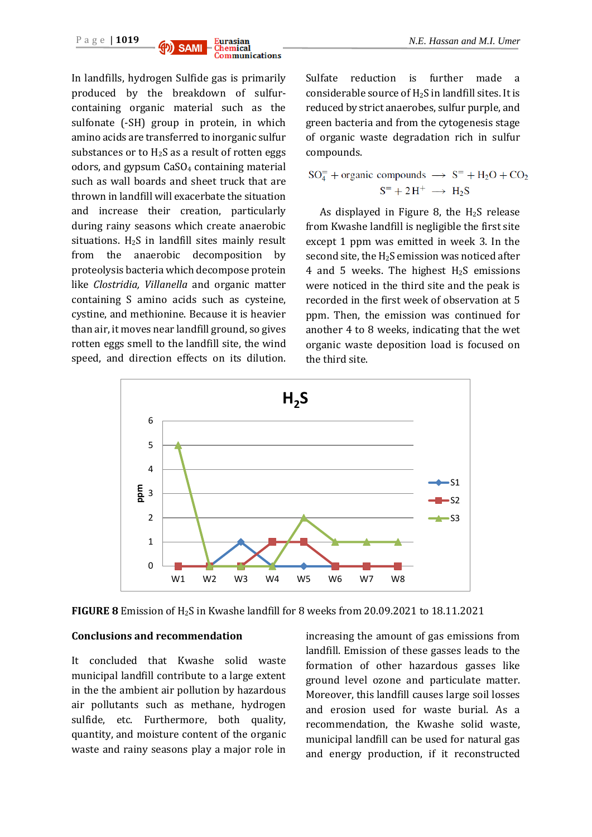

In landfills, hydrogen Sulfide gas is primarily produced by the breakdown of sulfurcontaining organic material such as the sulfonate (-SH) group in protein, in which amino acids are transferred to inorganic sulfur substances or to  $H_2S$  as a result of rotten eggs odors, and gypsum  $CaSO<sub>4</sub>$  containing material such as wall boards and sheet truck that are thrown in landfill will exacerbate the situation and increase their creation, particularly during rainy seasons which create anaerobic situations.  $H_2S$  in landfill sites mainly result from the anaerobic decomposition by proteolysis bacteria which decompose protein like *Clostridia, Villanella* and organic matter containing S amino acids such as cysteine, cystine, and methionine. Because it is heavier than air, it moves near landfill ground, so gives rotten eggs smell to the landfill site, the wind speed, and direction effects on its dilution.

Sulfate reduction is further made a considerable source of H2S in landfill sites. It is reduced by strict anaerobes, sulfur purple, and green bacteria and from the cytogenesis stage of organic waste degradation rich in sulfur compounds.

$$
SO_4^-
$$
 + organic compounds  $\rightarrow$  S<sup>=</sup> + H<sub>2</sub>O + CO<sub>2</sub>  
S<sup>=</sup> + 2H<sup>+</sup>  $\rightarrow$  H<sub>2</sub>S

As displayed in Figure 8, the  $H_2S$  release from Kwashe landfill is negligible the first site except 1 ppm was emitted in week 3. In the second site, the H2S emission was noticed after 4 and 5 weeks. The highest  $H_2S$  emissions were noticed in the third site and the peak is recorded in the first week of observation at 5 ppm. Then, the emission was continued for another 4 to 8 weeks, indicating that the wet organic waste deposition load is focused on the third site.



**FIGURE 8** Emission of H2S in Kwashe landfill for 8 weeks from 20.09.2021 to 18.11.2021

### **Conclusions and recommendation**

It concluded that Kwashe solid waste municipal landfill contribute to a large extent in the the ambient air pollution by hazardous air pollutants such as methane, hydrogen sulfide, etc. Furthermore, both quality, quantity, and moisture content of the organic waste and rainy seasons play a major role in

increasing the amount of gas emissions from landfill. Emission of these gasses leads to the formation of other hazardous gasses like ground level ozone and particulate matter. Moreover, this landfill causes large soil losses and erosion used for waste burial. As a recommendation, the Kwashe solid waste, municipal landfill can be used for natural gas and energy production, if it reconstructed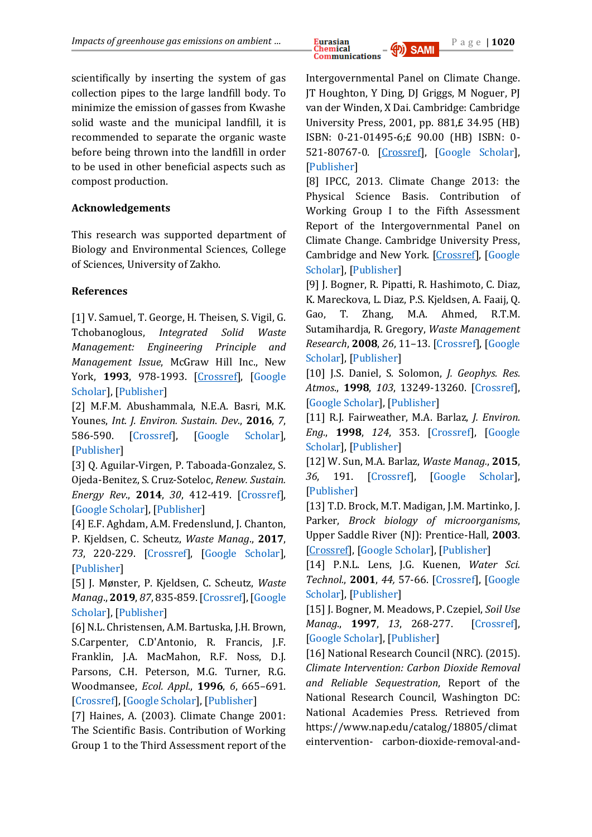

scientifically by inserting the system of gas collection pipes to the large landfill body. To minimize the emission of gasses from Kwashe solid waste and the municipal landfill, it is recommended to separate the organic waste before being thrown into the landfill in order to be used in other beneficial aspects such as compost production.

## **Acknowledgements**

This research was supported department of Biology and Environmental Sciences, College of Sciences, University of Zakho.

## **References**

[1] V. Samuel, [T. George,](https://www.google.com/search?hl=ar&tbo=p&tbm=bks&q=inauthor:%22Tchobanoglous+George%22) H. Theisen, S. Vigil, [G.](https://www.google.com/search?hl=ar&tbo=p&tbm=bks&q=inauthor:%22George+Tchobanoglous%22)  [Tchobanoglous,](https://www.google.com/search?hl=ar&tbo=p&tbm=bks&q=inauthor:%22George+Tchobanoglous%22) *Integrated Solid Waste Management: Engineering Principle and Management Issue*, McGraw Hill Inc., New York, **1993**, 978-1993. [\[Crossref\]](https://books.google.iq/books/about/Integrated_Solid_Waste_Management_Engine.html?id=-5JSAAAAMAAJ&redir_esc=y), [\[Google](file:///C:/Users/omran%20phone/Desktop/4.2022/Tchobanoglous,%20G.%20(1993).%20Integrated%20solid%20waste%20managementengineering%20principles%20and%20management%20issues%20(No.%20628%20T3))  [Scholar\]](file:///C:/Users/omran%20phone/Desktop/4.2022/Tchobanoglous,%20G.%20(1993).%20Integrated%20solid%20waste%20managementengineering%20principles%20and%20management%20issues%20(No.%20628%20T3)), [\[Publisher\]](https://books.google.iq/books/about/Integrated_Solid_Waste_Management_Engine.html?id=-5JSAAAAMAAJ&redir_esc=y)

[2] M.F.M. Abushammala, N.E.A. Basri, M.K. Younes, *Int. J. Environ. Sustain*. *Dev*., **2016**, *7*, 586-590. [\[Crossref\]](https://doi.org/10.18178/ijesd.2016.7.8.844‎), [\[Google Scholar\]](https://scholar.google.com/scholar?q=Seasonal+variation+of+landfill+methane+and+%E2%80%8Ecarbon+dioxide+emissions+in+a+tropical+climate%E2%80%8E&hl=en&as_sdt=0&as_vis=1&oi=scholart), [\[Publisher\]](http://www.ijesd.org/show-83-1220-1.html)

[3] Q. Aguilar-Virgen, P. Taboada-Gonzalez, S. Ojeda-Benitez, S. Cruz-Soteloc, *Renew. Sustain. Energy Rev*., **2014**, *30*, 412-419. [\[Crossref\]](https://doi.org/10.1016/j.rser.2013.10.014‎), [\[Google Scholar\]](https://scholar.google.com/scholar?hl=en&as_sdt=0%2C5&q=Power+generation+with+biogas+from+municipal+%E2%80%8Esolid+waste%3A+prediction+of+gas+generation+with+%E2%80%8Ein+situ+parameters%E2%80%8E&btnG=), [\[Publisher\]](https://www.sciencedirect.com/science/article/abs/pii/S1364032113007132)

[4] E.F. Aghdam, A.M. Fredenslund, J. Chanton, P. Kjeldsen, C. Scheutz, *Waste Manag*., **2017**, *73*, 220-229. [\[Crossref\]](https://doi.org/10.1016/j.wasman.2017.11.049‎), [\[Google Scholar\]](https://scholar.google.com/scholar?hl=en&as_sdt=0%2C5&q=%E2%80%8EAghdam%2C+E.F.%2C+Fredenslund%2C+A.M.%2C+Chanton%2C+%E2%80%8EJ.%2C+et+al.%2C+2017.+Determination+of+gas+recovery+%E2%80%8Eefficiency+at+two+Danish+landfills+by+%E2%80%8Eperforming+downwind+plume+methane+%E2%80%8Emeasurements+and+stable+carbon+isotope+%E2%80%8Eisotopic+analysis.+Waste+Manag&btnG=), [\[Publisher\]](https://www.sciencedirect.com/science/article/abs/pii/S0956053X17309303)

[5] J. Mønster, P. Kjeldsen, C. Scheutz, *Waste Manag*., **2019**, *87*, 835-859.[\[Crossref\]](https://doi.org/10.1016/j.wasman.2018.12.047‎), [\[Google](https://scholar.google.com/scholar?hl=en&as_sdt=0%2C5&q=%E2%80%8EM%C3%B8nster%2C+J.%2C+Kjeldsen%2C+P.%2C+Scheutz%2C+C.%2C+2019.+%E2%80%8EMethodologies+for+measuring+fugitive+%E2%80%8Emethane+emissions+from+landfills%3A+a+review.+%E2%80%8EWaste+Manag.+87%2C+835-859%E2%80%8E&btnG=)  [Scholar\]](https://scholar.google.com/scholar?hl=en&as_sdt=0%2C5&q=%E2%80%8EM%C3%B8nster%2C+J.%2C+Kjeldsen%2C+P.%2C+Scheutz%2C+C.%2C+2019.+%E2%80%8EMethodologies+for+measuring+fugitive+%E2%80%8Emethane+emissions+from+landfills%3A+a+review.+%E2%80%8EWaste+Manag.+87%2C+835-859%E2%80%8E&btnG=), [\[Publisher\]](https://www.sciencedirect.com/science/article/abs/pii/S0956053X18307888)

[6] N.L. Christensen, A.M. Bartuska, J.H. Brown, S.Carpenter, C.D'Antonio, R. Francis, J.F. Franklin, J.A. MacMahon, R.F. Noss, D.J. Parsons, C.H. Peterson, M.G. Turner, R.G. Woodmansee, *Ecol. Appl.*, **1996**, *6*, 665–691. [\[Crossref\]](https://doi.org/10.2307/2269460), [\[Google Scholar\]](https://scholar.google.com/scholar?hl=en&as_sdt=0%2C5&q=%E2%80%8E+Christensen%2C+N.L.%3B+Bartuska%2C+A.M.%3B+Brown%2C+%E2%80%8EJ.H.%3B+Carpenter%2C+S.%3B+D%E2%80%99Antonio%2C+C.%3B+Francis%2C+R.%3B+%E2%80%8EFranklin%2C+J.F.%3B+MacMahon%2C+J.A.%3B+Noss%2C+R.F.%3B+%E2%80%8EParsons%2C+D.J.%3B+et+al.+The+report+of+the+ecological+%E2%80%8Esociety+of+America+committee+on+the+%E2%80%8Escienti&btnG=), [\[Publisher\]](https://esajournals.onlinelibrary.wiley.com/doi/abs/10.2307/2269460)

[7] Haines, A. (2003). Climate Change 2001: The Scientific Basis. Contribution of Working Group 1 to the Third Assessment report of the

Intergovernmental Panel on Climate Change. JT Houghton, Y Ding, DJ Griggs, M Noguer, PJ van der Winden, X Dai. Cambridge: Cambridge University Press, 2001, pp. 881,£ 34.95 (HB) ISBN: 0-21-01495-6;£ 90.00 (HB) ISBN: 0- 521-80767-0. [\[Crossref\]](https://academic.oup.com/ije/crossref-citedby/745372), [\[Google Scholar\]](Haines,%20A.%20(2003).%20Climate%20Change%202001:%20The%20Scientific%20Basis.%20Contribution%20of%20Working%20Group%201%20to%20the%20Third%20Assessment%20report%20of%20the%20Intergovernmental%20Panel%20on%20Climate%20Change.%20JT%20Houghton,%20Y%20Ding,%20DJ%20Griggs,%20M%20Noguer,%20PJ%20van%20der%20Winden,%20X%20Dai.%20Cambridge:%20Cambridge%20University%20Press,%202001,%20pp.%20881,£%2034.95%20(HB)%20ISBN:%200-21-01495-6;£%2090.00%20(HB)%20ISBN:%200-521-80767-0.‏), [\[Publisher\]](https://academic.oup.com/ije/crossref-citedby/745372)

[8] IPCC, 2013. Climate Change 2013: the Physical Science Basis. Contribution of Working Group I to the Fifth Assessment Report of the Intergovernmental Panel on Climate Change. Cambridge University Press, Cambridge and New York. [\[Crossref\]](https://scholar.google.com/citations?view_op=view_citation&hl=en&user=WtWYW0MAAAAJ&citation_for_view=WtWYW0MAAAAJ:TNEldfgDb5MC), [\[Google](https://scholar.google.com/scholar?hl=en&as_sdt=0%2C5&q=%E2%80%8E%E2%80%8E+IPCC%2C+2013.+Climate+Change+2013%3A+the+%E2%80%8EPhysical+Science+Basis.+Contribution+of+%E2%80%8EWorking+Group+I+to+the+Fifth+Assessment+%E2%80%8EReport+of+the+Intergovernmental+Panel+on+%E2%80%8EClimate+Change.+Cambridge+University+Press%2C+%E2%80%8ECambridge+and+New+York%E2%80%8E&btnG=)  [Scholar\]](https://scholar.google.com/scholar?hl=en&as_sdt=0%2C5&q=%E2%80%8E%E2%80%8E+IPCC%2C+2013.+Climate+Change+2013%3A+the+%E2%80%8EPhysical+Science+Basis.+Contribution+of+%E2%80%8EWorking+Group+I+to+the+Fifth+Assessment+%E2%80%8EReport+of+the+Intergovernmental+Panel+on+%E2%80%8EClimate+Change.+Cambridge+University+Press%2C+%E2%80%8ECambridge+and+New+York%E2%80%8E&btnG=), [\[Publisher\]](https://www.researchgate.net/profile/Abha-Chhabra/publication/271702872_Carbon_and_Other_Biogeochemical_Cycles/links/54cf9ce80cf24601c094a45e/Carbon-and-Other-Biogeochemical-Cycles.pdf)

[9] J. Bogner, R. Pipatti, R. Hashimoto, C. Diaz, K. Mareckova, L. Diaz, P.S. Kjeldsen, A. Faaij, Q. Gao, T. Zhang, M.A. Ahmed, R.T.M. Sutamihardja, R. Gregory, *Waste Management Research*, **2008**, *26*, 11–13. [\[Crossref\]](https://doi.org/10.1177%2F0734242X07088433), [\[Google](https://scholar.google.com/scholar?hl=en&as_sdt=0%2C5&q=%E2%80%8EBogner%2C+J.%2C+Pipatti%2C+R.%2C+Hashimoto%2C+R.%2C+Diaz%2C+%E2%80%8EC.%2C+Mareckova%2C+K.%2C+Diaz%2C+L.%2C+Kjeldsen%2C+P.S.%2C+Faaij%2C+%E2%80%8EA.%2C+Gao%2C+Q.%2C+Zhang%2C+T.%2C+Ahmed%2C+M.A.%2C+%E2%80%8ESutamihardja%2C+R.T.M.%2C+Gregory%2C+R.%2C+2008.+%E2%80%8EMitigation+of+global+GHG+emissions+from+%E2%80%8Ewaste%3A+conclusi&btnG=)  [Scholar\]](https://scholar.google.com/scholar?hl=en&as_sdt=0%2C5&q=%E2%80%8EBogner%2C+J.%2C+Pipatti%2C+R.%2C+Hashimoto%2C+R.%2C+Diaz%2C+%E2%80%8EC.%2C+Mareckova%2C+K.%2C+Diaz%2C+L.%2C+Kjeldsen%2C+P.S.%2C+Faaij%2C+%E2%80%8EA.%2C+Gao%2C+Q.%2C+Zhang%2C+T.%2C+Ahmed%2C+M.A.%2C+%E2%80%8ESutamihardja%2C+R.T.M.%2C+Gregory%2C+R.%2C+2008.+%E2%80%8EMitigation+of+global+GHG+emissions+from+%E2%80%8Ewaste%3A+conclusi&btnG=), [\[Publisher\]](https://journals.sagepub.com/doi/abs/10.1177/0734242x07088433)

[10] J.S. Daniel, S. Solomon, *J. Geophys. Res. Atmos*., **1998**, *103*, 13249-13260. [\[Crossref\]](https://doi.org/10.1029/98JD00822), [\[Google Scholar\]](https://scholar.google.com/scholar?hl=en&as_sdt=0%2C5&q=%E2%80%8EDaniel+J.+S.+Solomon+S.+1998+On+the+%E2%80%8Eclimate+forcing+of+carbon+monoxide.+Journal+%E2%80%8Eof+Geophysical+Research-Atmospheres%2C+103+%E2%80%8E%E2%80%8E13249+13260%E2%80%8E&btnG=), [\[Publisher\]](https://agupubs.onlinelibrary.wiley.com/doi/abs/10.1029/98JD00822)

[11] R.J. Fairweather, M.A. Barlaz, *J. Environ. Eng.*, **1998**, *124*, 353. [\[Crossref\]](https://doi.org/10.1061/%28ASCE%290733-9372%281998%29124%3A4%28353%29), [\[Google](https://scholar.google.com/scholar?hl=en&as_sdt=0%2C5&q=%E2%80%8EFairweather%2C+R.+J.%2C+and+Barlaz%2C+M.+A.+%E2%80%8E%E2%80%8E%281998%29.+Hydrogen+sulfide+production+during+%E2%80%8Edecomposition+of+landfill+inputs.+J.+Environ.+%E2%80%8EEng.+124%3A353.+%E2%80%8E&btnG=)  [Scholar\]](https://scholar.google.com/scholar?hl=en&as_sdt=0%2C5&q=%E2%80%8EFairweather%2C+R.+J.%2C+and+Barlaz%2C+M.+A.+%E2%80%8E%E2%80%8E%281998%29.+Hydrogen+sulfide+production+during+%E2%80%8Edecomposition+of+landfill+inputs.+J.+Environ.+%E2%80%8EEng.+124%3A353.+%E2%80%8E&btnG=), [\[Publisher\]](https://ascelibrary.org/doi/abs/10.1061/(ASCE)0733-9372(1998)124:4(353))

[12] W. Sun, M.A. Barlaz, *Waste Manag.*, **2015**, *36*, 191. [\[Crossref\]](https://doi.org/10.1016/j.wasman.2014.11.014), [\[Google Scholar\]](https://scholar.google.com/scholar?hl=en&as_sdt=0%2C5&q=%E2%80%8ESun%2C+W.%2C+and+Barlaz%2C+M.+A.+%282015%29.+%E2%80%8EMeasurement+of+chemical+leaching+potential+%E2%80%8Eof+sulfate+from+landfill+disposed+sulfate+%E2%80%8Econtaining+wastes.+Waste+Manag.+36%3A191.+%E2%80%8E&btnG=), [\[Publisher\]](https://www.sciencedirect.com/science/article/abs/pii/S0956053X14005649)

[13] T.D. Brock, M.T. Madigan, J.M. Martinko, J. Parker, *Brock biology of microorganisms*, Upper Saddle River (NJ): Prentice-Hall, **2003**. [\[Crossref\]](https://lib.ugent.be/catalog/rug01:000745286), [\[Google Scholar\]](Brock,%20T.%20D.,%20Madigan,%20M.%20T.,%20Martinko,%20J.%20M.,%20&%20Parker,%20J.%20(2003).%20Brock%20biology%20of%20microorganisms.%20Upper%20Saddle%20River%20(NJ):%20Prentice-Hall,%202003..), [\[Publisher\]](https://lib.ugent.be/catalog/rug01:000745286)

[14] P.N.L. Lens, J.G. Kuenen, *Water Sci. Technol.*, **2001**, *44,* 57-66. [\[Crossref\]](https://doi.org/10.2166/wst.2001.0464), [\[Google](https://scholar.google.com/scholar?hl=en&as_sdt=0%2C5&q=%E2%80%8ELens%2C+P.N.L.%3B+Kuenen%2C+J.G.+The+Biological+%E2%80%8ESulfur+Cycle%3A+Novel+Opportunities+for+%E2%80%8EEnvironmental+Biotechnology%3B+Water+Sci.+%E2%80%8ETechnol.+2001%2C+44%2C+57-66%E2%80%8E&btnG=)  [Scholar\]](https://scholar.google.com/scholar?hl=en&as_sdt=0%2C5&q=%E2%80%8ELens%2C+P.N.L.%3B+Kuenen%2C+J.G.+The+Biological+%E2%80%8ESulfur+Cycle%3A+Novel+Opportunities+for+%E2%80%8EEnvironmental+Biotechnology%3B+Water+Sci.+%E2%80%8ETechnol.+2001%2C+44%2C+57-66%E2%80%8E&btnG=), [\[Publisher\]](https://iwaponline.com/wst/article-abstract/44/8/57/6810/The-biological-sulfur-cycle-novel-opportunities)

[15] J. Bogner, M. Meadows, P. Czepiel, *Soil Use Manag*., **1997**, *13*, 268-277. [\[Crossref\]](https://doi.org/10.1111/j.1475-2743.1997.tb00598.x‎), [\[Google Scholar\]](https://scholar.google.com/scholar?hl=en&as_sdt=0%2C5&q=%E2%80%8EBogner%2C+J.%2C+Meadows%2C+M.%2C+Czepiel%2C+P.%2C+%E2%80%8ESmith%2C+K.%3A+Fluxes+of+methane+between+landfills+%E2%80%8Eand+the+atmosphere%3A+natural+and+engineered+%E2%80%8Econtrols.+Soil+Use+Manag.+%281997%29%E2%80%8E&btnG=), [\[Publisher\]](https://bsssjournals.onlinelibrary.wiley.com/doi/abs/10.1111/j.1475-2743.1997.tb00598.x)

[16] National Research Council (NRC). (2015). *Climate Intervention: Carbon Dioxide Removal and Reliable Sequestration*, Report of the National Research Council, Washington DC: National Academies Press. Retrieved from https://www.nap.edu/catalog/18805/climat eintervention- carbon-dioxide-removal-and-